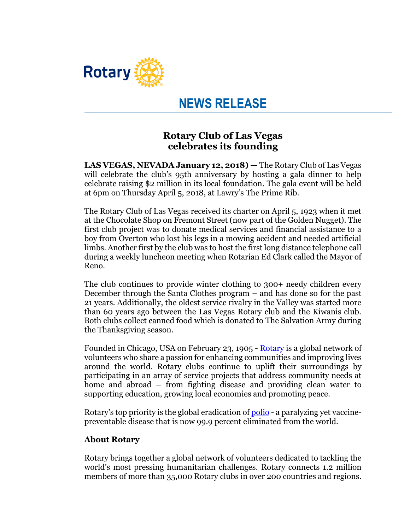

## **NEWS RELEASE**

## **Rotary Club of Las Vegas celebrates its founding**

**LAS VEGAS, NEVADA January 12, 2018) —** The Rotary Club of Las Vegas will celebrate the club's 95th anniversary by hosting a gala dinner to help celebrate raising \$2 million in its local foundation. The gala event will be held at 6pm on Thursday April 5, 2018, at Lawry's The Prime Rib.

The Rotary Club of Las Vegas received its charter on April 5, 1923 when it met at the Chocolate Shop on Fremont Street (now part of the Golden Nugget). The first club project was to donate medical services and financial assistance to a boy from Overton who lost his legs in a mowing accident and needed artificial limbs. Another first by the club was to host the first long distance telephone call during a weekly luncheon meeting when Rotarian Ed Clark called the Mayor of Reno.

The club continues to provide winter clothing to 300+ needy children every December through the Santa Clothes program – and has done so for the past 21 years. Additionally, the oldest service rivalry in the Valley was started more than 60 years ago between the Las Vegas Rotary club and the Kiwanis club. Both clubs collect canned food which is donated to The Salvation Army during the Thanksgiving season.

Founded in Chicago, USA on February 23, 1905 - [Rotary](http://www.rotary.org/) is a global network of volunteers who share a passion for enhancing communities and improving lives around the world. Rotary clubs continue to uplift their surroundings by participating in an array of service projects that address community needs at home and abroad – from fighting disease and providing clean water to supporting education, growing local economies and promoting peace.

Rotary's top priority is the global eradication of [polio](http://www.endpolio.org/) - a paralyzing yet vaccinepreventable disease that is now 99.9 percent eliminated from the world.

## **About Rotary**

Rotary brings together a global network of volunteers dedicated to tackling the world's most pressing humanitarian challenges. Rotary connects 1.2 million members of more than 35,000 Rotary clubs in over 200 countries and regions.